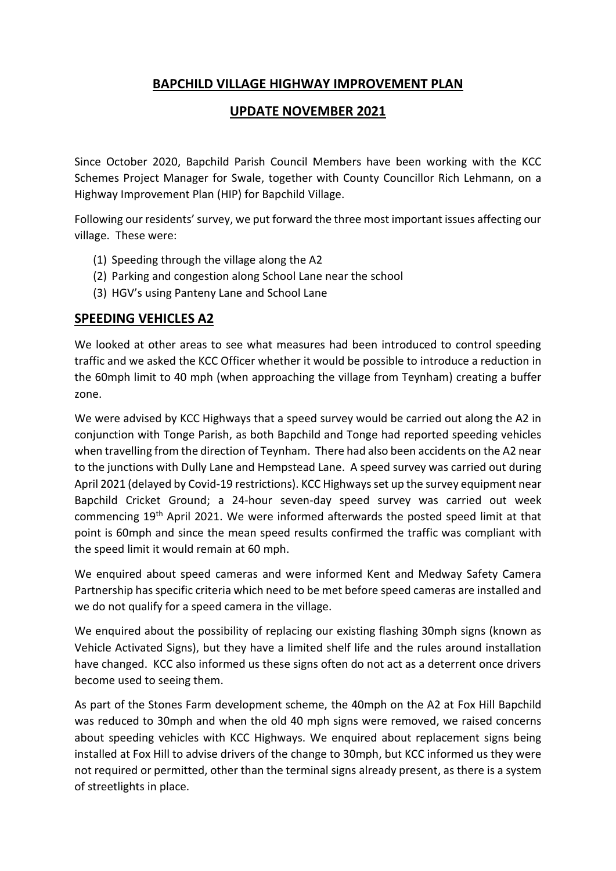### **BAPCHILD VILLAGE HIGHWAY IMPROVEMENT PLAN**

### **UPDATE NOVEMBER 2021**

Since October 2020, Bapchild Parish Council Members have been working with the KCC Schemes Project Manager for Swale, together with County Councillor Rich Lehmann, on a Highway Improvement Plan (HIP) for Bapchild Village.

Following our residents' survey, we put forward the three most important issues affecting our village. These were:

- (1) Speeding through the village along the A2
- (2) Parking and congestion along School Lane near the school
- (3) HGV's using Panteny Lane and School Lane

### **SPEEDING VEHICLES A2**

We looked at other areas to see what measures had been introduced to control speeding traffic and we asked the KCC Officer whether it would be possible to introduce a reduction in the 60mph limit to 40 mph (when approaching the village from Teynham) creating a buffer zone.

We were advised by KCC Highways that a speed survey would be carried out along the A2 in conjunction with Tonge Parish, as both Bapchild and Tonge had reported speeding vehicles when travelling from the direction of Teynham. There had also been accidents on the A2 near to the junctions with Dully Lane and Hempstead Lane. A speed survey was carried out during April 2021 (delayed by Covid-19 restrictions). KCC Highwaysset up the survey equipment near Bapchild Cricket Ground; a 24-hour seven-day speed survey was carried out week commencing 19th April 2021. We were informed afterwards the posted speed limit at that point is 60mph and since the mean speed results confirmed the traffic was compliant with the speed limit it would remain at 60 mph.

We enquired about speed cameras and were informed Kent and Medway Safety Camera Partnership has specific criteria which need to be met before speed cameras are installed and we do not qualify for a speed camera in the village.

We enquired about the possibility of replacing our existing flashing 30mph signs (known as Vehicle Activated Signs), but they have a limited shelf life and the rules around installation have changed. KCC also informed us these signs often do not act as a deterrent once drivers become used to seeing them.

As part of the Stones Farm development scheme, the 40mph on the A2 at Fox Hill Bapchild was reduced to 30mph and when the old 40 mph signs were removed, we raised concerns about speeding vehicles with KCC Highways. We enquired about replacement signs being installed at Fox Hill to advise drivers of the change to 30mph, but KCC informed us they were not required or permitted, other than the terminal signs already present, as there is a system of streetlights in place.